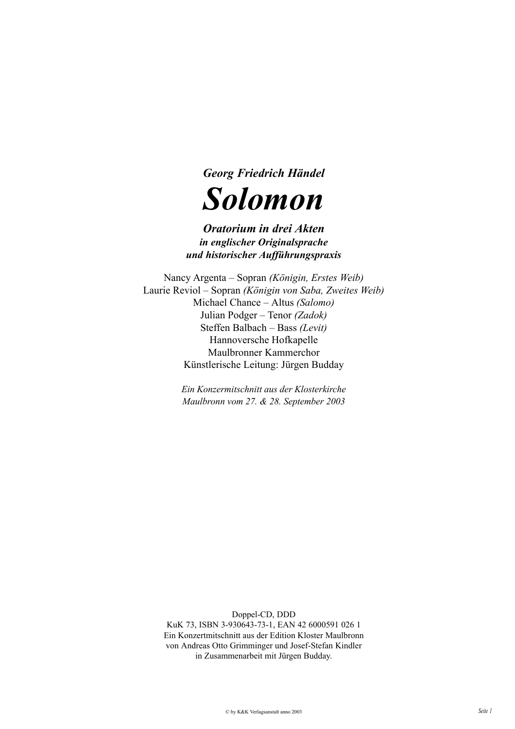

# *Oratorium in drei Akten in englischer Originalsprache und historischer Aufführungspraxis*

Nancy Argenta – Sopran *(Königin, Erstes Weib)* Laurie Reviol – Sopran *(Königin von Saba, Zweites Weib)* Michael Chance – Altus *(Salomo)* Julian Podger – Tenor *(Zadok)* Steffen Balbach – Bass *(Levit)* Hannoversche Hofkapelle Maulbronner Kammerchor Künstlerische Leitung: Jürgen Budday

> *Ein Konzermitschnitt aus der Klosterkirche Maulbronn vom 27. & 28. September 2003*

> > Doppel-CD, DDD

KuK 73, ISBN 3-930643-73-1, EAN 42 6000591 026 1 Ein Konzertmitschnitt aus der Edition Kloster Maulbronn von Andreas Otto Grimminger und Josef-Stefan Kindler in Zusammenarbeit mit Jürgen Budday.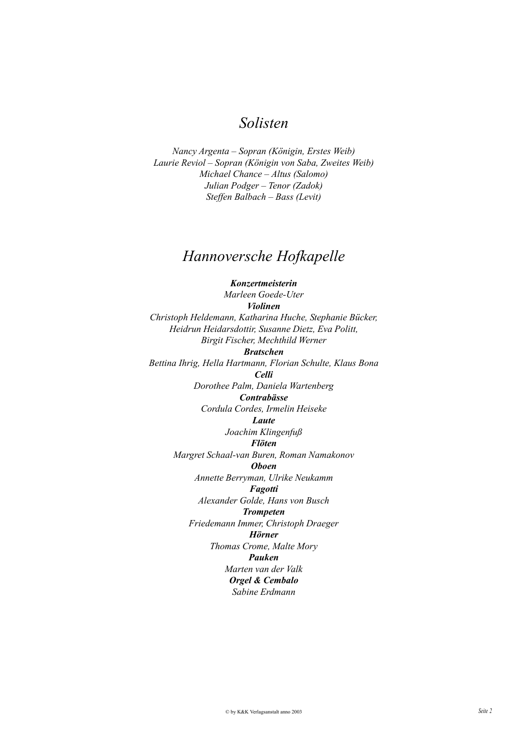# *Solisten*

*Nancy Argenta – Sopran (Königin, Erstes Weib) Laurie Reviol – Sopran (Königin von Saba, Zweites Weib) Michael Chance – Altus (Salomo) Julian Podger – Tenor (Zadok) Steffen Balbach – Bass (Levit)*

# *Hannoversche Hofkapelle*

*Konzertmeisterin Marleen Goede-Uter Violinen Christoph Heldemann, Katharina Huche, Stephanie Bücker, Heidrun Heidarsdottir, Susanne Dietz, Eva Politt, Birgit Fischer, Mechthild Werner Bratschen Bettina Ihrig, Hella Hartmann, Florian Schulte, Klaus Bona Celli Dorothee Palm, Daniela Wartenberg Contrabässe Cordula Cordes, Irmelin Heiseke Laute Joachim Klingenfuß Flöten Margret Schaal-van Buren, Roman Namakonov Oboen Annette Berryman, Ulrike Neukamm Fagotti Alexander Golde, Hans von Busch Trompeten Friedemann Immer, Christoph Draeger Hörner Thomas Crome, Malte Mory Pauken Marten van der Valk Orgel & Cembalo Sabine Erdmann*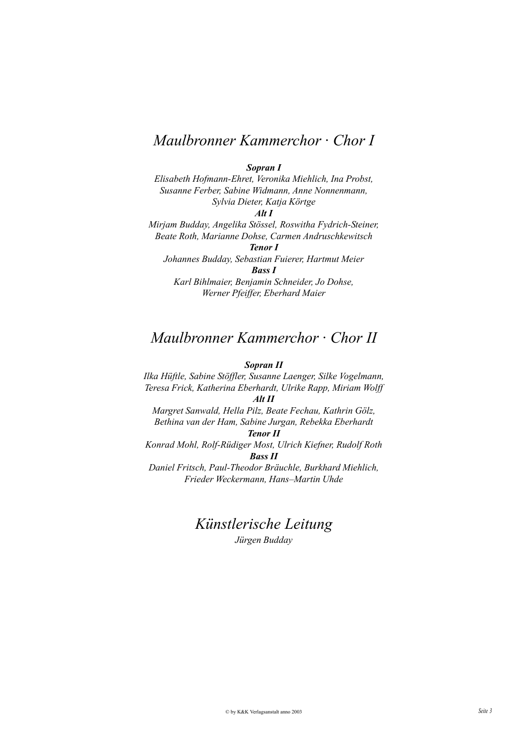# *Maulbronner Kammerchor · Chor I*

### *Sopran I*

*Elisabeth Hofmann-Ehret, Veronika Miehlich, Ina Probst, Susanne Ferber, Sabine Widmann, Anne Nonnenmann, Sylvia Dieter, Katja Körtge Alt I*

*Mirjam Budday, Angelika Stössel, Roswitha Fydrich-Steiner, Beate Roth, Marianne Dohse, Carmen Andruschkewitsch Tenor I*

*Johannes Budday, Sebastian Fuierer, Hartmut Meier Bass I*

*Karl Bihlmaier, Benjamin Schneider, Jo Dohse, Werner Pfeiffer, Eberhard Maier*

# *Maulbronner Kammerchor · Chor II*

## *Sopran II*

*Ilka Hüftle, Sabine Stöffler, Susanne Laenger, Silke Vogelmann, Teresa Frick, Katherina Eberhardt, Ulrike Rapp, Miriam Wolff*

*Alt II*

*Margret Sanwald, Hella Pilz, Beate Fechau, Kathrin Gölz, Bethina van der Ham, Sabine Jurgan, Rebekka Eberhardt*

# *Tenor II*

*Konrad Mohl, Rolf-Rüdiger Most, Ulrich Kiefner, Rudolf Roth Bass II*

*Daniel Fritsch, Paul-Theodor Bräuchle, Burkhard Miehlich, Frieder Weckermann, Hans–Martin Uhde*

# *Künstlerische Leitung*

*Jürgen Budday*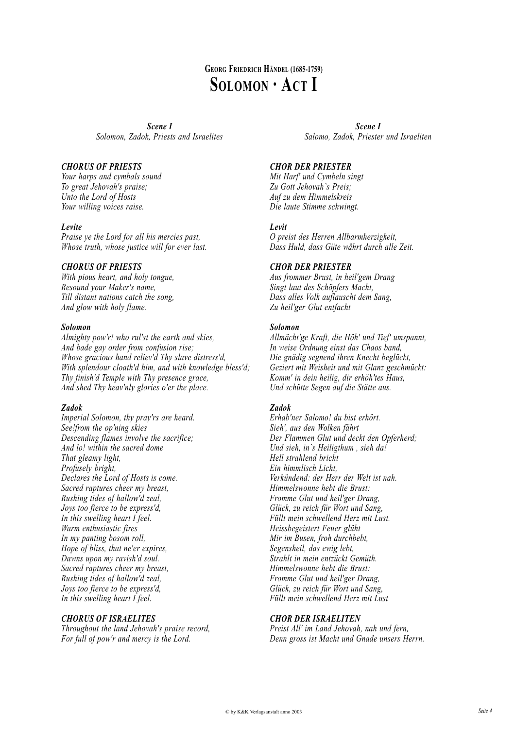# **GEORG FRIEDRICH HÄNDEL (1685-1759) SOLOMON · ACT I**

*Scene I Solomon, Zadok, Priests and Israelites*

## *CHORUS OF PRIESTS*

*Your harps and cymbals sound To great Jehovah's praise; Unto the Lord of Hosts Your willing voices raise.*

## *Levite*

*Praise ye the Lord for all his mercies past, Whose truth, whose justice will for ever last.*

## *CHORUS OF PRIESTS*

*With pious heart, and holy tongue, Resound your Maker's name, Till distant nations catch the song, And glow with holy flame.*

## *Solomon*

*Almighty pow'r! who rul'st the earth and skies, And bade gay order from confusion rise; Whose gracious hand reliev'd Thy slave distress'd, With splendour cloath'd him, and with knowledge bless'd; Thy finish'd Temple with Thy presence grace, And shed Thy heav'nly glories o'er the place.*

## *Zadok*

*Imperial Solomon, thy pray'rs are heard. See!from the op'ning skies Descending flames involve the sacrifice; And lo! within the sacred dome That gleamy light, Profusely bright, Declares the Lord of Hosts is come. Sacred raptures cheer my breast, Rushing tides of hallow'd zeal, Joys too fierce to be express'd, In this swelling heart I feel. Warm enthusiastic fires In my panting bosom roll, Hope of bliss, that ne'er expires, Dawns upon my ravish'd soul. Sacred raptures cheer my breast, Rushing tides of hallow'd zeal, Joys too fierce to be express'd, In this swelling heart I feel.*

## *CHORUS OF ISRAELITES*

*Throughout the land Jehovah's praise record, For full of pow'r and mercy is the Lord.*

*Scene I Salomo, Zadok, Priester und Israeliten*

## *CHOR DER PRIESTER*

*Mit Harf' und Cymbeln singt Zu Gott Jehovah`s Preis; Auf zu dem Himmelskreis Die laute Stimme schwingt.*

## *Levit*

*O preist des Herren Allbarmherzigkeit, Dass Huld, dass Güte währt durch alle Zeit.*

## *CHOR DER PRIESTER*

*Aus frommer Brust, in heil'gem Drang Singt laut des Schöpfers Macht, Dass alles Volk auflauscht dem Sang, Zu heil'ger Glut entfacht*

## *Solomon*

*Allmächt'ge Kraft, die Höh' und Tief' umspannt, In weise Ordnung einst das Chaos band, Die gnädig segnend ihren Knecht beglückt, Geziert mit Weisheit und mit Glanz geschmückt: Komm' in dein heilig, dir erhöh'tes Haus, Und schütte Segen auf die Stätte aus.*

## *Zadok*

*Erhab'ner Salomo! du bist erhört. Sieh', aus den Wolken fährt Der Flammen Glut und deckt den Opferherd; Und sieh, in`s Heiligthum , sieh da! Hell strahlend bricht Ein himmlisch Licht, Verkündend: der Herr der Welt ist nah. Himmelswonne hebt die Brust: Fromme Glut und heil'ger Drang, Glück, zu reich für Wort und Sang, Füllt mein schwellend Herz mit Lust. Heissbegeistert Feuer glüht Mir im Busen, froh durchbebt, Segensheil, das ewig lebt, Strahlt in mein entzückt Gemüth. Himmelswonne hebt die Brust: Fromme Glut und heil'ger Drang, Glück, zu reich für Wort und Sang, Füllt mein schwellend Herz mit Lust*

## *CHOR DER ISRAELITEN*

*Preist All' im Land Jehovah, nah und fern, Denn gross ist Macht und Gnade unsers Herrn.*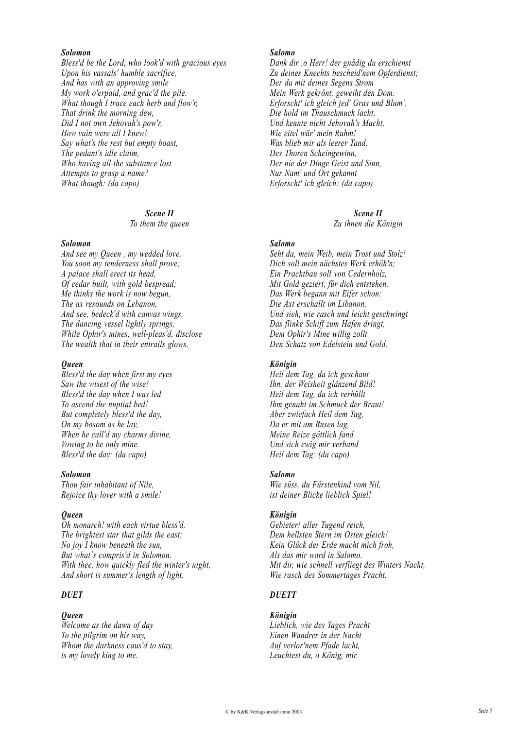#### *Solomon*

*Bless'd be the Lord, who look'd with gracious eyes Upon his vassals' humble sacrifice, And has with an approving smile My work o'erpaid, and grac'd the pile. What though I trace each herb and flow'r, That drink the morning dew, Did I not own Jehovah's pow'r, How vain were all I knew! Say what's the rest but empty boast, The pedant's idle claim, Who having all the substance lost Attempts to grasp a name? What though: (da capo)*

> *Scene II To them the queen*

*Solomon*

*And see my Queen , my wedded love, You soon my tenderness shall prove; A palace shall erect its head, Of cedar built, with gold bespread; Me thinks the work is now begun, The ax resounds on Lebanon, And see, bedeck'd with canvas wings, The dancing vessel lightly springs, While Ophir's mines, well-pleas'd, disclose The wealth that in their entrails glows.*

#### *Queen*

*Bless'd the day when first my eyes Saw the wisest of the wise! Bless'd the day when I was led To ascend the nuptial bed! But completely bless'd the day, On my bosom as he lay, When he call'd my charms divine, Vowing to be only mine. Bless'd the day: (da capo)*

#### *Solomon*

*Thou fair inhabitant of Nile, Rejoice thy lover with a smile!*

#### *Queen*

*Oh monarch! with each virtue bless'd, The brightest star that gilds the east; No joy I know beneath the sun, But what`s compris'd in Solomon. With thee, how quickly fled the winter's night, And short is summer's length of light.*

## *DUET*

#### *Queen*

*Welcome as the dawn of day To the pilgrim on his way, Whom the darkness caus'd to stay, is my lovely king to me.*

## *Salomo*

*Dank dir ,o Herr! der gnädig du erschienst Zu deines Knechts bescheid'nem Opferdienst; Der du mit deines Segens Strom Mein Werk gekrönt, geweiht den Dom. Erforscht' ich gleich jed' Gras und Blum', Die hold im Thauschmuck lacht, Und kennte nicht Jehovah's Macht, Wie eitel wär' mein Ruhm! Was blieb mir als leerer Tand, Des Thoren Scheingewinn, Der nie der Dinge Geist und Sinn, Nur Nam' und Ort gekannt Erforscht' ich gleich: (da capo)*

#### *Scene II*

*Zu ihnen die Königin*

#### *Salomo*

*Seht da, mein Weib, mein Trost und Stolz! Dich soll mein nächstes Werk erhöh'n; Ein Prachtbau soll von Cedernholz, Mit Gold geziert, für dich entstehen. Das Werk begann mit Eifer schon: Die Axt erschallt im Libanon, Und sieh, wie rasch und leicht geschwingt Das flinke Schiff zum Hafen dringt, Dem Ophir's Mine willig zollt Den Schatz von Edelstein und Gold.*

#### *Königin*

*Heil dem Tag, da ich geschaut Ihn, der Weisheit glänzend Bild! Heil dem Tag, da ich verhüllt Ihm genaht im Schmuck der Braut! Aber zwiefach Heil dem Tag, Da er mit am Busen lag, Meine Reize göttlich fand Und sich ewig mir verband Heil dem Tag: (da capo)*

#### *Salomo*

*Wie süss, du Fürstenkind vom Nil, ist deiner Blicke lieblich Spiel!*

## *Königin*

*Gebieter! aller Tugend reich, Dem hellsten Stern im Osten gleich! Kein Glück der Erde macht mich froh, Als das mir ward in Salomo. Mit dir, wie schnell verfliegt des Winters Nacht, Wie rasch des Sommertages Pracht.*

## *DUETT*

## *Königin*

*Lieblich, wie des Tages Pracht Einen Wandrer in der Nacht Auf verlor'nem Pfade lacht, Leuchtest du, o König, mir.*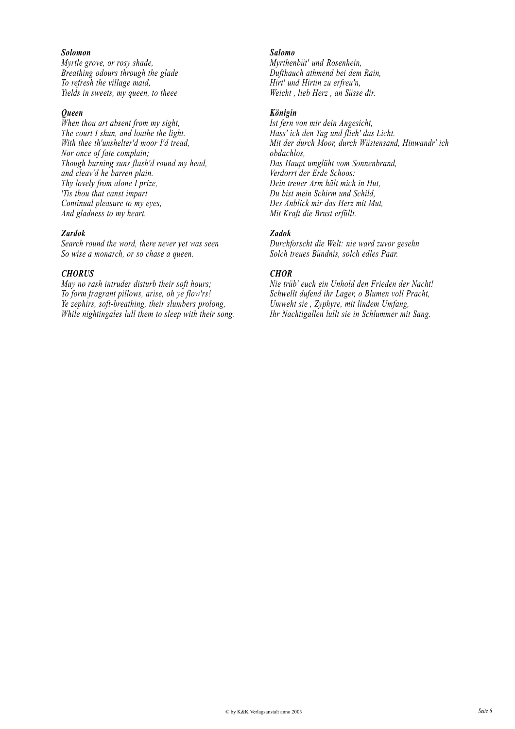## *Solomon*

*Myrtle grove, or rosy shade, Breathing odours through the glade To refresh the village maid, Yields in sweets, my queen, to theee*

## *Queen*

*When thou art absent from my sight, The court I shun, and loathe the light. With thee th'unshelter'd moor I'd tread, Nor once of fate complain; Though burning suns flash'd round my head, and cleav'd he barren plain. Thy lovely from alone I prize, 'Tis thou that canst impart Continual pleasure to my eyes, And gladness to my heart.*

#### *Zardok*

*Search round the word, there never yet was seen So wise a monarch, or so chase a queen.*

#### *CHORUS*

*May no rash intruder disturb their soft hours; To form fragrant pillows, arise, oh ye flow'rs! Ye zephirs, soft-breathing, their slumbers prolong, While nightingales lull them to sleep with their song.*

#### *Salomo*

*Myrthenbüt' und Rosenhein, Dufthauch athmend bei dem Rain, Hirt' und Hirtin zu erfreu'n, Weicht , lieb Herz , an Süsse dir.*

## *Königin*

*Ist fern von mir dein Angesicht, Hass' ich den Tag und flieh' das Licht. Mit der durch Moor, durch Wüstensand, Hinwandr' ich obdachlos, Das Haupt umglüht vom Sonnenbrand, Verdorrt der Erde Schoos: Dein treuer Arm hält mich in Hut, Du bist mein Schirm und Schild, Des Anblick mir das Herz mit Mut, Mit Kraft die Brust erfüllt.*

## *Zadok*

*Durchforscht die Welt: nie ward zuvor gesehn Solch treues Bündnis, solch edles Paar.*

## *CHOR*

*Nie trüb' euch ein Unhold den Frieden der Nacht! Schwellt dufend ihr Lager, o Blumen voll Pracht, Umweht sie , Zyphyre, mit lindem Umfang, Ihr Nachtigallen lullt sie in Schlummer mit Sang.*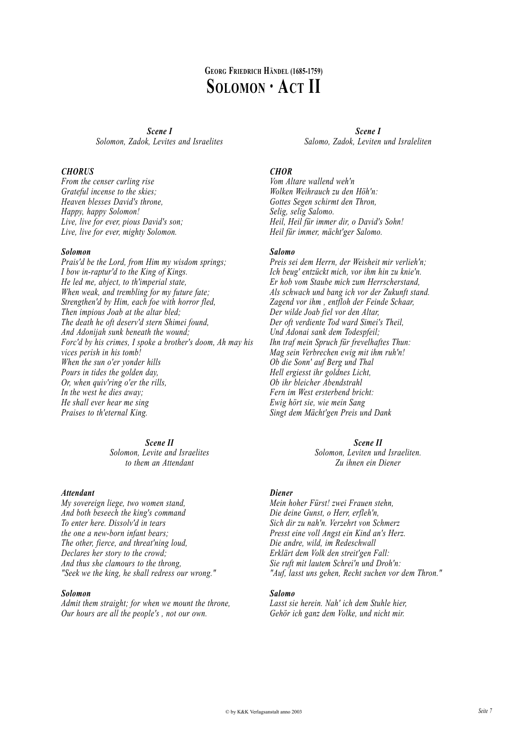# **GEORG FRIEDRICH HÄNDEL (1685-1759) SOLOMON · ACT II**

*Scene I Solomon, Zadok, Levites and Israelites*

## *CHORUS*

*From the censer curling rise Grateful incense to the skies; Heaven blesses David's throne, Happy, happy Solomon! Live, live for ever, pious David's son; Live, live for ever, mighty Solomon.*

## *Solomon*

*Prais'd be the Lord, from Him my wisdom springs; I bow in-raptur'd to the King of Kings. He led me, abject, to th'imperial state, When weak, and trembling for my future fate; Strengthen'd by Him, each foe with horror fled, Then impious Joab at the altar bled; The death he oft deserv'd stern Shimei found, And Adonijah sunk beneath the wound; Forc'd by his crimes, I spoke a brother's doom, Ah may his vices perish in his tomb! When the sun o'er yonder hills Pours in tides the golden day, Or, when quiv'ring o'er the rills, In the west he dies away; He shall ever hear me sing Praises to th'eternal King.*

## *Scene II*

*Solomon, Levite and Israelites to them an Attendant*

## *Attendant*

*My sovereign liege, two women stand, And both beseech the king's command To enter here. Dissolv'd in tears the one a new-born infant bears; The other, fierce, and threat'ning loud, Declares her story to the crowd; And thus she clamours to the throng, "Seek we the king, he shall redress our wrong."*

## *Solomon*

*Admit them straight; for when we mount the throne, Our hours are all the people's , not our own.*

*Scene I Salomo, Zadok, Leviten und Israleliten*

## *CHOR*

*Vom Altare wallend weh'n Wolken Weihrauch zu den Höh'n: Gottes Segen schirmt den Thron, Selig, selig Salomo. Heil, Heil für immer dir, o David's Sohn! Heil für immer, mächt'ger Salomo.*

## *Salomo*

*Preis sei dem Herrn, der Weisheit mir verlieh'n; Ich beug' entzückt mich, vor ihm hin zu knie'n. Er hob vom Staube mich zum Herrscherstand, Als schwach und bang ich vor der Zukunft stand. Zagend vor ihm , entfloh der Feinde Schaar, Der wilde Joab fiel vor den Altar, Der oft verdiente Tod ward Simei's Theil, Und Adonai sank dem Todespfeil; Ihn traf mein Spruch für frevelhaftes Thun: Mag sein Verbrechen ewig mit ihm ruh'n! Ob die Sonn' auf Berg und Thal Hell ergiesst ihr goldnes Licht, Ob ihr bleicher Abendstrahl Fern im West ersterbend bricht: Ewig hört sie, wie mein Sang Singt dem Mächt'gen Preis und Dank*

## *Scene II*

*Solomon, Leviten und Israeliten. Zu ihnen ein Diener*

## *Diener*

*Mein hoher Fürst! zwei Frauen stehn, Die deine Gunst, o Herr, erfleh'n, Sich dir zu nah'n. Verzehrt von Schmerz Presst eine voll Angst ein Kind an's Herz. Die andre, wild, im Redeschwall Erklärt dem Volk den streit'gen Fall: Sie ruft mit lautem Schrei'n und Droh'n: "Auf, lasst uns gehen, Recht suchen vor dem Thron."*

## *Salomo*

*Lasst sie herein. Nah' ich dem Stuhle hier, Gehör ich ganz dem Volke, und nicht mir.*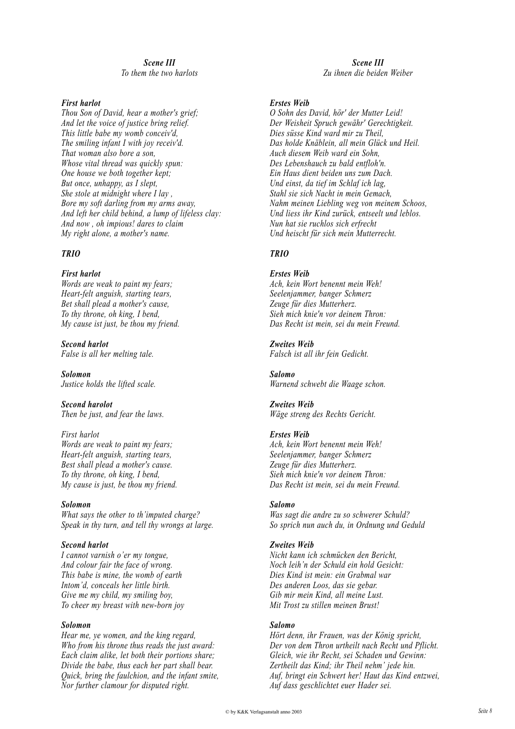## *Scene III To them the two harlots*

## *First harlot*

*Thou Son of David, hear a mother's grief; And let the voice of justice bring relief. This little babe my womb conceiv'd, The smiling infant I with joy receiv'd. That woman also bore a son, Whose vital thread was quickly spun: One house we both together kept; But once, unhappy, as I slept, She stole at midnight where I lay , Bore my soft darling from my arms away, And left her child behind, a lump of lifeless clay: And now , oh impious! dares to claim My right alone, a mother's name.*

## *TRIO*

*First harlot Words are weak to paint my fears; Heart-felt anguish, starting tears, Bet shall plead a mother's cause, To thy throne, oh king, I bend, My cause ist just, be thou my friend.*

*Second harlot False is all her melting tale.*

*Solomon Justice holds the lifted scale.*

*Second harolot Then be just, and fear the laws.*

*First harlot Words are weak to paint my fears; Heart-felt anguish, starting tears, Best shall plead a mother's cause. To thy throne, oh king, I bend, My cause is just, be thou my friend.*

## *Solomon*

*What says the other to th'imputed charge? Speak in thy turn, and tell thy wrongs at large.*

## *Second harlot*

*I cannot varnish o'er my tongue, And colour fair the face of wrong. This babe is mine, the womb of earth Intom'd, conceals her little birth. Give me my child, my smiling boy, To cheer my breast with new-born joy*

## *Solomon*

*Hear me, ye women, and the king regard, Who from his throne thus reads the just award: Each claim alike, let both their portions share; Divide the babe, thus each her part shall bear. Quick, bring the faulchion, and the infant smite, Nor further clamour for disputed right.*

*Scene III Zu ihnen die beiden Weiber*

## *Erstes Weib*

*O Sohn des David, hör' der Mutter Leid! Der Weisheit Spruch gewähr' Gerechtigkeit. Dies süsse Kind ward mir zu Theil, Das holde Knäblein, all mein Glück und Heil. Auch diesem Weib ward ein Sohn, Des Lebenshauch zu bald entfloh'n. Ein Haus dient beiden uns zum Dach. Und einst, da tief im Schlaf ich lag, Stahl sie sich Nacht in mein Gemach, Nahm meinen Liebling weg von meinem Schoos, Und liess ihr Kind zurück, entseelt und leblos. Nun hat sie ruchlos sich erfrecht Und heischt für sich mein Mutterrecht.*

## *TRIO*

#### *Erstes Weib*

*Ach, kein Wort benennt mein Weh! Seelenjammer, banger Schmerz Zeuge für dies Mutterherz. Sieh mich knie'n vor deinem Thron: Das Recht ist mein, sei du mein Freund.*

## *Zweites Weib*

*Falsch ist all ihr fein Gedicht.*

*Salomo Warnend schwebt die Waage schon.*

#### *Zweites Weib Wäge streng des Rechts Gericht.*

## *Erstes Weib*

*Ach, kein Wort benennt mein Weh! Seelenjammer, banger Schmerz Zeuge für dies Mutterherz. Sieh mich knie'n vor deinem Thron: Das Recht ist mein, sei du mein Freund.*

## *Salomo*

*Was sagt die andre zu so schwerer Schuld? So sprich nun auch du, in Ordnung und Geduld*

## *Zweites Weib*

*Nicht kann ich schmücken den Bericht, Noch leih'n der Schuld ein hold Gesicht: Dies Kind ist mein: ein Grabmal war Des anderen Loos, das sie gebar. Gib mir mein Kind, all meine Lust. Mit Trost zu stillen meinen Brust!*

## *Salomo*

*Hört denn, ihr Frauen, was der König spricht, Der von dem Thron urtheilt nach Recht und Pflicht. Gleich, wie ihr Recht, sei Schaden und Gewinn: Zertheilt das Kind; ihr Theil nehm' jede hin. Auf, bringt ein Schwert her! Haut das Kind entzwei, Auf dass geschlichtet euer Hader sei.*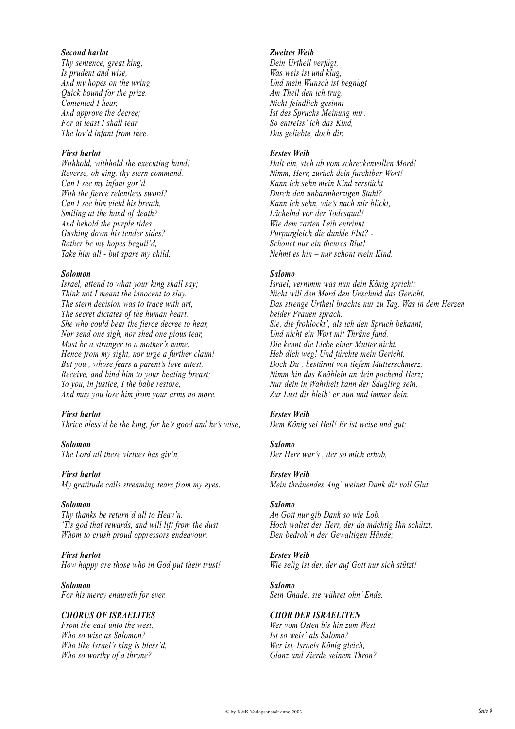## *Second harlot*

*Thy sentence, great king, Is prudent and wise, And my hopes on the wring Quick bound for the prize. Contented I hear, And approve the decree; For at least I shall tear The lov'd infant from thee.*

#### *First harlot*

*Withhold, withhold the executing hand! Reverse, oh king, thy stern command. Can I see my infant gor'd With the fierce relentless sword? Can I see him yield his breath, Smiling at the hand of death? And behold the purple tides Gushing down his tender sides? Rather be my hopes beguil'd, Take him all - but spare my child.*

#### *Solomon*

*Israel, attend to what your king shall say; Think not I meant the innocent to slay. The stern decision was to trace with art, The secret dictates of the human heart. She who could bear the fierce decree to hear, Nor send one sigh, nor shed one pious tear, Must be a stranger to a mother's name. Hence from my sight, nor urge a further claim! But you , whose fears a parent's love attest, Receive, and bind him to your beating breast; To you, in justice, I the babe restore, And may you lose him from your arms no more.*

#### *First harlot*

*Thrice bless'd be the king, for he's good and he's wise;*

*Solomon The Lord all these virtues has giv'n,*

#### *First harlot*

*My gratitude calls streaming tears from my eyes.*

#### *Solomon*

*Thy thanks be return'd all to Heav'n. 'Tis god that rewards, and will lift from the dust Whom to crush proud oppressors endeavour;*

#### *First harlot How happy are those who in God put their trust!*

*Solomon*

*For his mercy endureth for ever.*

## *CHORUS OF ISRAELITES*

*From the east unto the west, Who so wise as Solomon? Who like Israel's king is bless'd, Who so worthy of a throne?*

## *Zweites Weib*

*Dein Urtheil verfügt, Was weis ist und klug, Und mein Wunsch ist begnügt Am Theil den ich trug. Nicht feindlich gesinnt Ist des Spruchs Meinung mir: So entreiss' ich das Kind, Das geliebte, doch dir.*

#### *Erstes Weib*

*Halt ein, steh ab vom schreckenvollen Mord! Nimm, Herr, zurück dein furchtbar Wort! Kann ich sehn mein Kind zerstückt Durch den unbarmherzigen Stahl? Kann ich sehn, wie's nach mir blickt, Lächelnd vor der Todesqual! Wie dem zarten Leib entrinnt Purpurgleich die dunkle Flut? - Schonet nur ein theures Blut! Nehmt es hin – nur schont mein Kind.*

#### *Salomo*

*Israel, vernimm was nun dein König spricht: Nicht will den Mord den Unschuld das Gericht. Das strenge Urtheil brachte nur zu Tag, Was in dem Herzen beider Frauen sprach. Sie, die frohlockt', als ich den Spruch bekannt, Und nicht ein Wort mit Thräne fand, Die kennt die Liebe einer Mutter nicht. Heb dich weg! Und fürchte mein Gericht. Doch Du , bestürmt von tiefem Mutterschmerz, Nimm hin das Knäblein an dein pochend Herz; Nur dein in Wahrheit kann der Säugling sein, Zur Lust dir bleib' er nun und immer dein.*

## *Erstes Weib*

*Dem König sei Heil! Er ist weise und gut;*

#### *Salomo*

*Der Herr war's , der so mich erhob,*

### *Erstes Weib*

*Mein thränendes Aug' weinet Dank dir voll Glut.*

#### *Salomo*

*An Gott nur gib Dank so wie Lob. Hoch waltet der Herr, der da mächtig Ihn schützt, Den bedroh'n der Gewaltigen Hände;*

#### *Erstes Weib*

*Wie selig ist der, der auf Gott nur sich stützt!*

#### *Salomo*

*Sein Gnade, sie währet ohn' Ende.*

#### *CHOR DER ISRAELITEN*

*Wer vom Osten bis hin zum West Ist so weis' als Salomo? Wer ist, Israels König gleich, Glanz und Zierde seinem Thron?*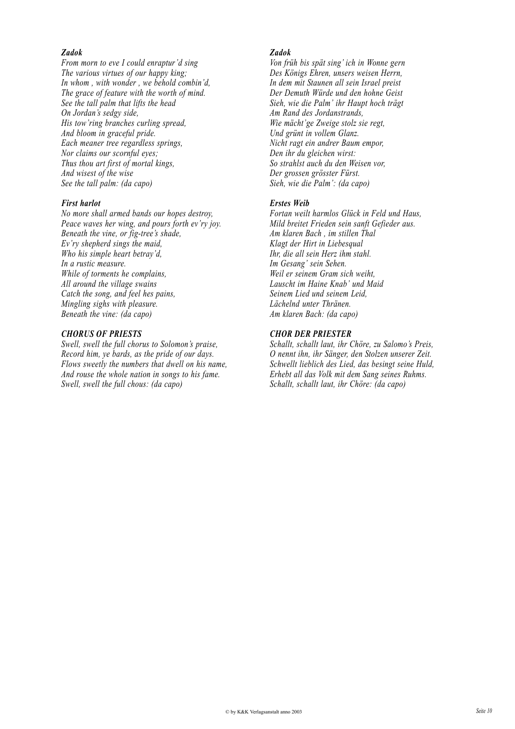## *Zadok*

*From morn to eve I could enraptur'd sing The various virtues of our happy king; In whom , with wonder , we behold combin'd, The grace of feature with the worth of mind. See the tall palm that lifts the head On Jordan's sedgy side, His tow'ring branches curling spread, And bloom in graceful pride. Each meaner tree regardless springs, Nor claims our scornful eyes; Thus thou art first of mortal kings, And wisest of the wise See the tall palm: (da capo)*

## *First harlot*

*No more shall armed bands our hopes destroy, Peace waves her wing, and pours forth ev'ry joy. Beneath the vine, or fig-tree's shade, Ev'ry shepherd sings the maid, Who his simple heart betray'd, In a rustic measure. While of torments he complains, All around the village swains Catch the song, and feel hes pains, Mingling sighs with pleasure. Beneath the vine: (da capo)*

## *CHORUS OF PRIESTS*

*Swell, swell the full chorus to Solomon's praise, Record him, ye bards, as the pride of our days. Flows sweetly the numbers that dwell on his name, And rouse the whole nation in songs to his fame. Swell, swell the full chous: (da capo)*

## *Zadok*

*Von früh bis spät sing' ich in Wonne gern Des Königs Ehren, unsers weisen Herrn, In dem mit Staunen all sein Israel preist Der Demuth Würde und den hohne Geist Sieh, wie die Palm' ihr Haupt hoch trägt Am Rand des Jordanstrands, Wie mächt'ge Zweige stolz sie regt, Und grünt in vollem Glanz. Nicht ragt ein andrer Baum empor, Den ihr du gleichen wirst: So strahlst auch du den Weisen vor, Der grossen grösster Fürst. Sieh, wie die Palm': (da capo)*

## *Erstes Weib*

*Fortan weilt harmlos Glück in Feld und Haus, Mild breitet Frieden sein sanft Gefieder aus. Am klaren Bach , im stillen Thal Klagt der Hirt in Liebesqual Ihr, die all sein Herz ihm stahl. Im Gesang' sein Sehen. Weil er seinem Gram sich weiht, Lauscht im Haine Knab' und Maid Seinem Lied und seinem Leid, Lächelnd unter Thränen. Am klaren Bach: (da capo)*

## *CHOR DER PRIESTER*

*Schallt, schallt laut, ihr Chöre, zu Salomo's Preis, O nennt ihn, ihr Sänger, den Stolzen unserer Zeit. Schwellt lieblich des Lied, das besingt seine Huld, Erhebt all das Volk mit dem Sang seines Ruhms. Schallt, schallt laut, ihr Chöre: (da capo)*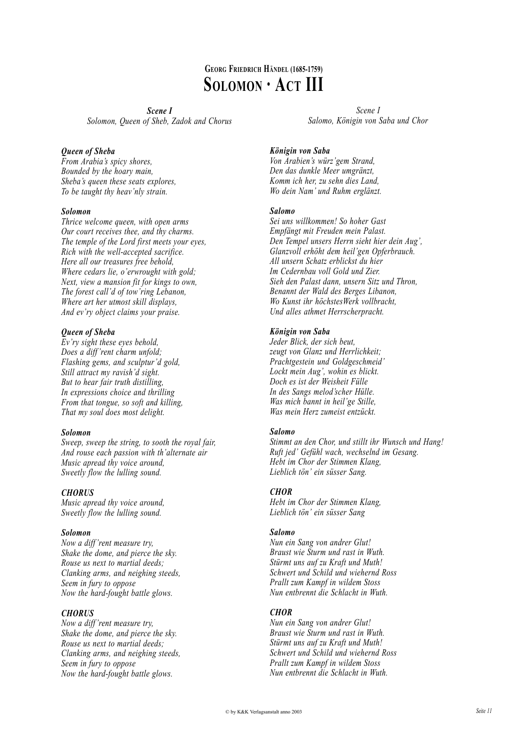# **GEORG FRIEDRICH HÄNDEL (1685-1759) SOLOMON · ACT III**

*Scene I Solomon, Queen of Sheb, Zadok and Chorus*

## *Queen of Sheba*

*From Arabia's spicy shores, Bounded by the hoary main, Sheba's queen these seats explores, To be taught thy heav'nly strain.*

## *Solomon*

*Thrice welcome queen, with open arms Our court receives thee, and thy charms. The temple of the Lord first meets your eyes, Rich with the well-accepted sacrifice. Here all our treasures free behold, Where cedars lie, o'erwrought with gold; Next, view a mansion fit for kings to own, The forest call'd of tow'ring Lebanon, Where art her utmost skill displays, And ev'ry object claims your praise.*

## *Queen of Sheba*

*Ev'ry sight these eyes behold, Does a diff 'rent charm unfold; Flashing gems, and sculptur'd gold, Still attract my ravish'd sight. But to hear fair truth distilling, In expressions choice and thrilling From that tongue, so soft and killing, That my soul does most delight.*

## *Solomon*

*Sweep, sweep the string, to sooth the royal fair, And rouse each passion with th'alternate air Music apread thy voice around, Sweetly flow the lulling sound.*

## *CHORUS*

*Music apread thy voice around, Sweetly flow the lulling sound.*

## *Solomon*

*Now a diff 'rent measure try, Shake the dome, and pierce the sky. Rouse us next to martial deeds; Clanking arms, and neighing steeds, Seem in fury to oppose Now the hard-fought battle glows.*

## *CHORUS*

*Now a diff 'rent measure try, Shake the dome, and pierce the sky. Rouse us next to martial deeds; Clanking arms, and neighing steeds, Seem in fury to oppose Now the hard-fought battle glows.*

*Scene I Salomo, Königin von Saba und Chor*

## *Königin von Saba*

*Von Arabien's würz'gem Strand, Den das dunkle Meer umgränzt, Komm ich her, zu sehn dies Land, Wo dein Nam' und Ruhm erglänzt.*

## *Salomo*

*Sei uns willkommen! So hoher Gast Empfängt mit Freuden mein Palast. Den Tempel unsers Herrn sieht hier dein Aug', Glanzvoll erhöht dem heil'gen Opferbrauch. All unsern Schatz erblickst du hier Im Cedernbau voll Gold und Zier. Sieh den Palast dann, unsern Sitz und Thron, Benannt der Wald des Berges Libanon, Wo Kunst ihr höchstesWerk vollbracht, Und alles athmet Herrscherpracht.*

## *Königin von Saba*

*Jeder Blick, der sich beut, zeugt von Glanz und Herrlichkeit; Prachtgestein und Goldgeschmeid' Lockt mein Aug', wohin es blickt. Doch es ist der Weisheit Fülle In des Sangs melod'scher Hülle. Was mich bannt in heil'ge Stille, Was mein Herz zumeist entzückt.*

## *Salomo*

*Stimmt an den Chor, und stillt ihr Wunsch und Hang! Ruft jed' Gefühl wach, wechselnd im Gesang. Hebt im Chor der Stimmen Klang, Lieblich tön' ein süsser Sang.*

## *CHOR*

*Hebt im Chor der Stimmen Klang, Lieblich tön' ein süsser Sang*

## *Salomo*

*Nun ein Sang von andrer Glut! Braust wie Sturm und rast in Wuth. Stürmt uns auf zu Kraft und Muth! Schwert und Schild und wiehernd Ross Prallt zum Kampf in wildem Stoss Nun entbrennt die Schlacht in Wuth.*

## *CHOR*

*Nun ein Sang von andrer Glut! Braust wie Sturm und rast in Wuth. Stürmt uns auf zu Kraft und Muth! Schwert und Schild und wiehernd Ross Prallt zum Kampf in wildem Stoss Nun entbrennt die Schlacht in Wuth.*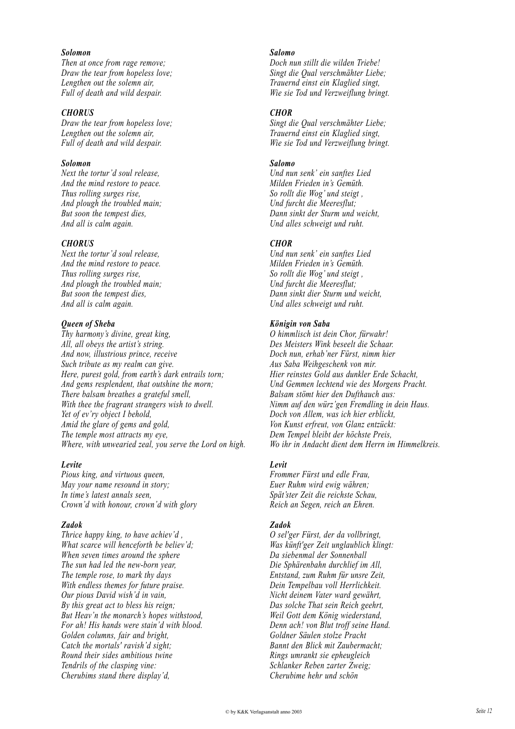## *Solomon*

*Then at once from rage remove; Draw the tear from hopeless love; Lengthen out the solemn air, Full of death and wild despair.*

## *CHORUS*

*Draw the tear from hopeless love; Lengthen out the solemn air, Full of death and wild despair.*

## *Solomon*

*Next the tortur'd soul release, And the mind restore to peace. Thus rolling surges rise, And plough the troubled main; But soon the tempest dies, And all is calm again.*

## *CHORUS*

*Next the tortur'd soul release, And the mind restore to peace. Thus rolling surges rise, And plough the troubled main; But soon the tempest dies, And all is calm again.*

## *Queen of Sheba*

*Thy harmony's divine, great king, All, all obeys the artist's string. And now, illustrious prince, receive Such tribute as my realm can give. Here, purest gold, from earth's dark entrails torn; And gems resplendent, that outshine the morn; There balsam breathes a grateful smell, With thee the fragrant strangers wish to dwell. Yet of ev'ry object I behold, Amid the glare of gems and gold, The temple most attracts my eye, Where, with unwearied zeal, you serve the Lord on high.*

## *Levite*

*Pious king, and virtuous queen, May your name resound in story; In time's latest annals seen, Crown'd with honour, crown'd with glory*

#### *Zadok*

*Thrice happy king, to have achiev'd , What scarce will henceforth be believ'd; When seven times around the sphere The sun had led the new-born year, The temple rose, to mark thy days With endless themes for future praise. Our pious David wish'd in vain, By this great act to bless his reign; But Heav'n the monarch's hopes withstood, For ah! His hands were stain'd with blood. Golden columns, fair and bright, Catch the mortals' ravish'd sight; Round their sides ambitious twine Tendrils of the clasping vine: Cherubims stand there display'd,*

#### *Salomo*

*Doch nun stillt die wilden Triebe! Singt die Qual verschmähter Liebe; Trauernd einst ein Klaglied singt, Wie sie Tod und Verzweiflung bringt.*

### *CHOR*

*Singt die Qual verschmähter Liebe; Trauernd einst ein Klaglied singt, Wie sie Tod und Verzweiflung bringt.*

#### *Salomo*

*Und nun senk' ein sanftes Lied Milden Frieden in's Gemüth. So rollt die Wog' und steigt , Und furcht die Meeresflut; Dann sinkt der Sturm und weicht, Und alles schweigt und ruht.*

#### *CHOR*

*Und nun senk' ein sanftes Lied Milden Frieden in's Gemüth. So rollt die Wog' und steigt , Und furcht die Meeresflut; Dann sinkt dier Sturm und weicht, Und alles schweigt und ruht.*

## *Königin von Saba*

*O himmlisch ist dein Chor, fürwahr! Des Meisters Wink beseelt die Schaar. Doch nun, erhab'ner Fürst, nimm hier Aus Saba Weihgeschenk von mir. Hier reinstes Gold aus dunkler Erde Schacht, Und Gemmen lechtend wie des Morgens Pracht. Balsam stömt hier den Dufthauch aus: Nimm auf den würz'gen Fremdling in dein Haus. Doch von Allem, was ich hier erblickt, Von Kunst erfreut, von Glanz entzückt: Dem Tempel bleibt der höchste Preis, Wo ihr in Andacht dient dem Herrn im Himmelkreis.*

## *Levit*

*Frommer Fürst und edle Frau, Euer Ruhm wird ewig währen; Spät'ster Zeit die reichste Schau, Reich an Segen, reich an Ehren.*

## *Zadok*

*O sel'ger Fürst, der da vollbringt, Was künft'ger Zeit unglaublich klingt: Da siebenmal der Sonnenball Die Sphärenbahn durchlief im All, Entstand, zum Ruhm für unsre Zeit, Dein Tempelbau voll Herrlichkeit. Nicht deinem Vater ward gewährt, Das solche That sein Reich geehrt, Weil Gott dem König wiederstand, Denn ach! von Blut troff seine Hand. Goldner Säulen stolze Pracht Bannt den Blick mit Zaubermacht; Rings umrankt sie epheugleich Schlanker Reben zarter Zweig; Cherubime hehr und schön*